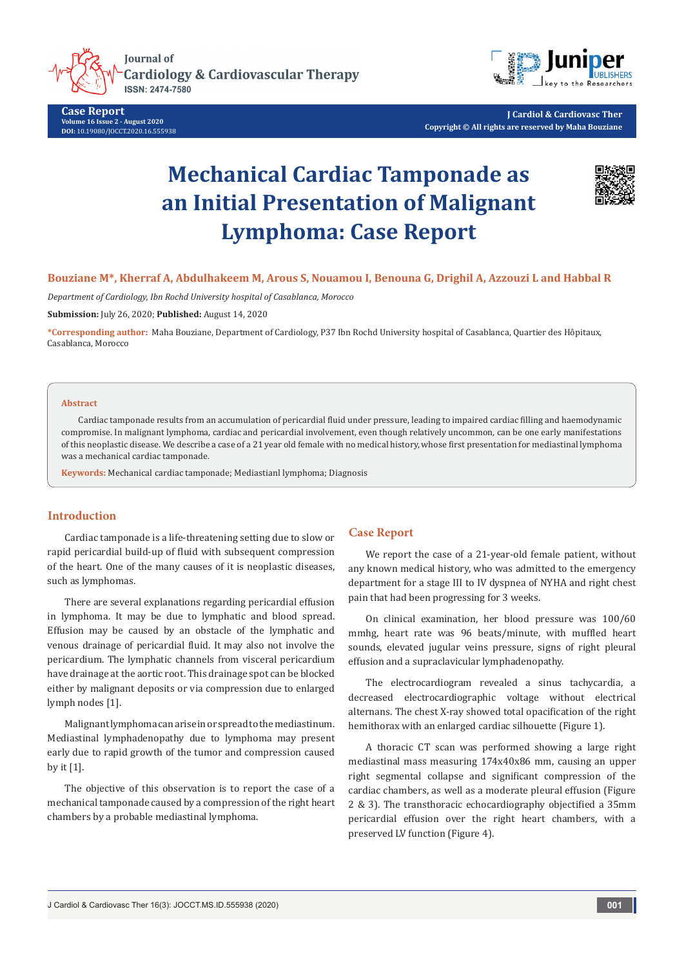

**Case Report Volume 16 Issue 2 - August 2020 DOI:** [10.19080/JOCCT.2020.16.55593](http://dx.doi.org/10.19080/JOCCT.2020.16.555938)8



**J Cardiol & Cardiovasc Ther Copyright © All rights are reserved by Maha Bouziane**

# **Mechanical Cardiac Tamponade as an Initial Presentation of Malignant Lymphoma: Case Report**



## **Bouziane M\*, Kherraf A, Abdulhakeem M, Arous S, Nouamou I, Benouna G, Drighil A, Azzouzi L and Habbal R**

*Department of Cardiology, Ibn Rochd University hospital of Casablanca, Morocco*

**Submission:** July 26, 2020; **Published:** August 14, 2020

**\*Corresponding author:** Maha Bouziane, Department of Cardiology, P37 Ibn Rochd University hospital of Casablanca, Quartier des Hôpitaux, Casablanca, Morocco

#### **Abstract**

Cardiac tamponade results from an accumulation of pericardial fluid under pressure, leading to impaired cardiac filling and haemodynamic compromise. In malignant lymphoma, cardiac and pericardial involvement, even though relatively uncommon, can be one early manifestations of this neoplastic disease. We describe a case of a 21 year old female with no medical history, whose first presentation for mediastinal lymphoma was a mechanical cardiac tamponade.

**Keywords:** Mechanical cardiac tamponade; Mediastianl lymphoma; Diagnosis

## **Introduction**

Cardiac tamponade is a life-threatening setting due to slow or rapid pericardial build-up of fluid with subsequent compression of the heart. One of the many causes of it is neoplastic diseases, such as lymphomas.

There are several explanations regarding pericardial effusion in lymphoma. It may be due to lymphatic and blood spread. Effusion may be caused by an obstacle of the lymphatic and venous drainage of pericardial fluid. It may also not involve the pericardium. The lymphatic channels from visceral pericardium have drainage at the aortic root. This drainage spot can be blocked either by malignant deposits or via compression due to enlarged lymph nodes [1].

Malignant lymphoma can arise in or spread to the mediastinum. Mediastinal lymphadenopathy due to lymphoma may present early due to rapid growth of the tumor and compression caused by it [1].

The objective of this observation is to report the case of a mechanical tamponade caused by a compression of the right heart chambers by a probable mediastinal lymphoma.

### **Case Report**

We report the case of a 21-year-old female patient, without any known medical history, who was admitted to the emergency department for a stage III to IV dyspnea of NYHA and right chest pain that had been progressing for 3 weeks.

On clinical examination, her blood pressure was 100/60 mmhg, heart rate was 96 beats/minute, with muffled heart sounds, elevated jugular veins pressure, signs of right pleural effusion and a supraclavicular lymphadenopathy.

The electrocardiogram revealed a sinus tachycardia, a decreased electrocardiographic voltage without electrical alternans. The chest X-ray showed total opacification of the right hemithorax with an enlarged cardiac silhouette (Figure 1).

A thoracic CT scan was performed showing a large right mediastinal mass measuring 174x40x86 mm, causing an upper right segmental collapse and significant compression of the cardiac chambers, as well as a moderate pleural effusion (Figure 2 & 3). The transthoracic echocardiography objectified a 35mm pericardial effusion over the right heart chambers, with a preserved LV function (Figure 4).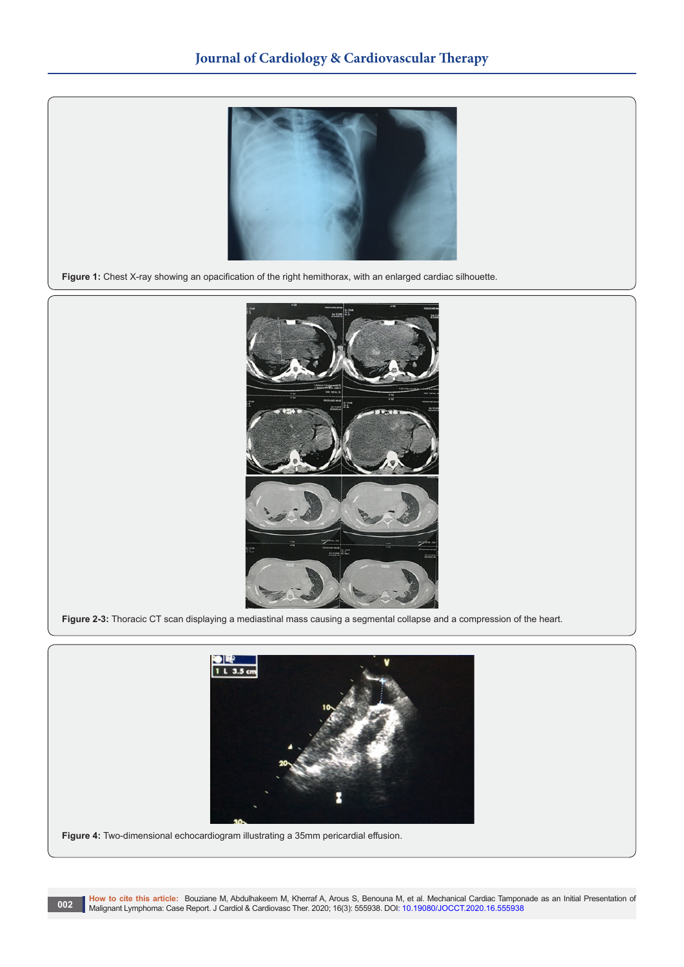

**Figure 1:** Chest X-ray showing an opacification of the right hemithorax, with an enlarged cardiac silhouette.



**Figure 2-3:** Thoracic CT scan displaying a mediastinal mass causing a segmental collapse and a compression of the heart.



**Figure 4:** Two-dimensional echocardiogram illustrating a 35mm pericardial effusion.

**How to cite this article:** Bouziane M, Abdulhakeem M, Kherraf A, Arous S, Benouna M, et al. Mechanical Cardiac Tamponade as an Initial Presentation of Malignant Lymphoma: Case Report. J Cardiol & Cardiovasc Ther. 2020; 16(3): 555938. DOI: [10.19080/JOCCT.2020.16.5559](http://dx.doi.org/10.19080/JOCCT.2020.16.555938)38 **Malignant Lymphoma: Case Report. J Cardiol & Cardiovasc Ther. 2020**; 16(3): 555938. DOI: 10.19080/JOCCT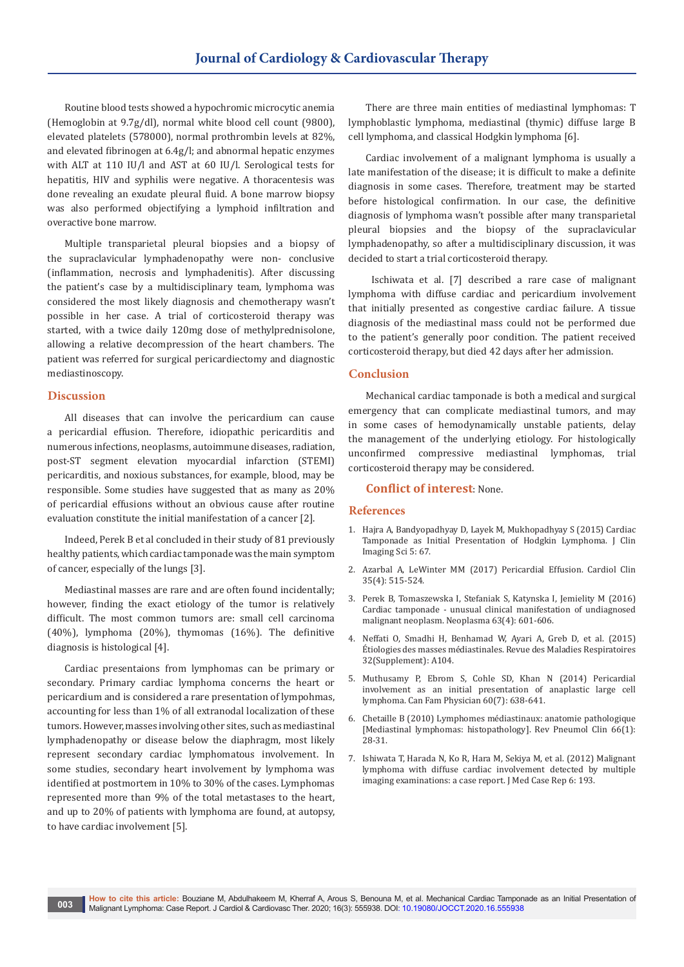Routine blood tests showed a hypochromic microcytic anemia (Hemoglobin at 9.7g/dl), normal white blood cell count (9800), elevated platelets (578000), normal prothrombin levels at 82%, and elevated fibrinogen at 6.4g/l; and abnormal hepatic enzymes with ALT at 110 IU/l and AST at 60 IU/l. Serological tests for hepatitis, HIV and syphilis were negative. A thoracentesis was done revealing an exudate pleural fluid. A bone marrow biopsy was also performed objectifying a lymphoid infiltration and overactive bone marrow.

Multiple transparietal pleural biopsies and a biopsy of the supraclavicular lymphadenopathy were non- conclusive (inflammation, necrosis and lymphadenitis). After discussing the patient's case by a multidisciplinary team, lymphoma was considered the most likely diagnosis and chemotherapy wasn't possible in her case. A trial of corticosteroid therapy was started, with a twice daily 120mg dose of methylprednisolone, allowing a relative decompression of the heart chambers. The patient was referred for surgical pericardiectomy and diagnostic mediastinoscopy.

#### **Discussion**

All diseases that can involve the pericardium can cause a pericardial effusion. Therefore, idiopathic pericarditis and numerous infections, neoplasms, autoimmune diseases, radiation, post-ST segment elevation myocardial infarction (STEMI) pericarditis, and noxious substances, for example, blood, may be responsible. Some studies have suggested that as many as 20% of pericardial effusions without an obvious cause after routine evaluation constitute the initial manifestation of a cancer [2].

Indeed, Perek B et al concluded in their study of 81 previously healthy patients, which cardiac tamponade was the main symptom of cancer, especially of the lungs [3].

Mediastinal masses are rare and are often found incidentally; however, finding the exact etiology of the tumor is relatively difficult. The most common tumors are: small cell carcinoma (40%), lymphoma (20%), thymomas (16%). The definitive diagnosis is histological [4].

Cardiac presentaions from lymphomas can be primary or secondary. Primary cardiac lymphoma concerns the heart or pericardium and is considered a rare presentation of lympohmas, accounting for less than 1% of all extranodal localization of these tumors.However, masses involving other sites, such as mediastinal lymphadenopathy or disease below the diaphragm, most likely represent secondary cardiac lymphomatous involvement. In some studies, secondary heart involvement by lymphoma was identified at postmortem in 10% to 30% of the cases. Lymphomas represented more than 9% of the total metastases to the heart, and up to 20% of patients with lymphoma are found, at autopsy, to have cardiac involvement [5].

There are three main entities of mediastinal lymphomas: T lymphoblastic lymphoma, mediastinal (thymic) diffuse large B cell lymphoma, and classical Hodgkin lymphoma [6].

Cardiac involvement of a malignant lymphoma is usually a late manifestation of the disease; it is difficult to make a definite diagnosis in some cases. Therefore, treatment may be started before histological confirmation. In our case, the definitive diagnosis of lymphoma wasn't possible after many transparietal pleural biopsies and the biopsy of the supraclavicular lymphadenopathy, so after a multidisciplinary discussion, it was decided to start a trial corticosteroid therapy.

 Ischiwata et al. [7] described a rare case of malignant lymphoma with diffuse cardiac and pericardium involvement that initially presented as congestive cardiac failure. A tissue diagnosis of the mediastinal mass could not be performed due to the patient's generally poor condition. The patient received corticosteroid therapy, but died 42 days after her admission.

#### **Conclusion**

Mechanical cardiac tamponade is both a medical and surgical emergency that can complicate mediastinal tumors, and may in some cases of hemodynamically unstable patients, delay the management of the underlying etiology. For histologically unconfirmed compressive mediastinal lymphomas, trial corticosteroid therapy may be considered.

#### **Conflict of interest**: None.

#### **References**

- 1. [Hajra A, Bandyopadhyay D, Layek M, Mukhopadhyay S \(2015\) Cardiac](https://pubmed.ncbi.nlm.nih.gov/26900491/)  [Tamponade as Initial Presentation of Hodgkin Lymphoma.](https://pubmed.ncbi.nlm.nih.gov/26900491/) J Clin [Imaging Sci 5: 67.](https://pubmed.ncbi.nlm.nih.gov/26900491/)
- 2. [Azarbal A, LeWinter MM \(2017\) Pericardial Effusion.](https://pubmed.ncbi.nlm.nih.gov/29025543/) Cardiol Clin [35\(4\): 515-524.](https://pubmed.ncbi.nlm.nih.gov/29025543/)
- 3. [Perek B, Tomaszewska I, Stefaniak S, Katynska I, Jemielity M \(2016\)](https://pubmed.ncbi.nlm.nih.gov/27268924/)  [Cardiac tamponade - unusual clinical manifestation of undiagnosed](https://pubmed.ncbi.nlm.nih.gov/27268924/)  malignant neoplasm. [Neoplasma 63\(4\): 601-606.](https://pubmed.ncbi.nlm.nih.gov/27268924/)
- 4. [Neffati O, Smadhi H, Benhamad W, Ayari A, Greb D, et al. \(2015\)](https://www.sciencedirect.com/science/article/abs/pii/S0761842514009796)  [Étiologies des masses médiastinales. Revue des Maladies Respiratoires](https://www.sciencedirect.com/science/article/abs/pii/S0761842514009796)  [32\(Supplement\): A104.](https://www.sciencedirect.com/science/article/abs/pii/S0761842514009796)
- 5. [Muthusamy P, Ebrom S, Cohle SD, Khan N \(2014\) Pericardial](https://pubmed.ncbi.nlm.nih.gov/25022637/)  [involvement as an initial presentation of anaplastic large cell](https://pubmed.ncbi.nlm.nih.gov/25022637/)  lymphoma. [Can Fam Physician 60\(7\): 638-641.](https://pubmed.ncbi.nlm.nih.gov/25022637/)
- 6. Chetaille B (2010) Lymphomes médiastinaux: anatomie pathologique [Mediastinal lymphomas: histopathology]. Rev Pneumol Clin 66(1): 28-31.
- 7. [Ishiwata T, Harada N, Ko R, Hara M, Sekiya M, et al. \(2012\) Malignant](https://jmedicalcasereports.biomedcentral.com/articles/10.1186/1752-1947-6-193)  [lymphoma with diffuse cardiac involvement detected by multiple](https://jmedicalcasereports.biomedcentral.com/articles/10.1186/1752-1947-6-193)  [imaging examinations: a case report.](https://jmedicalcasereports.biomedcentral.com/articles/10.1186/1752-1947-6-193) J Med Case Rep 6: 193.